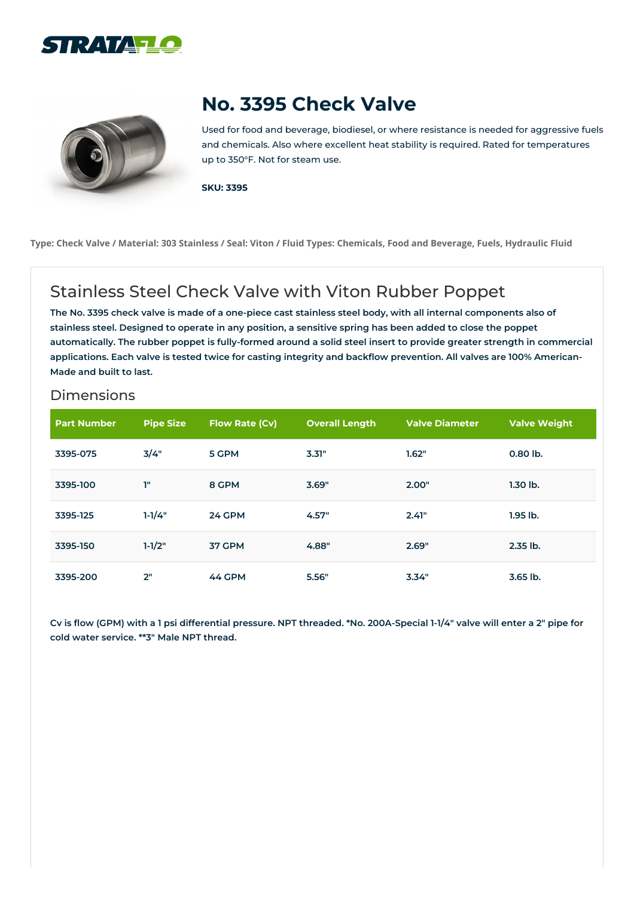



## **No. 3395 Check Valve**

Used for food and beverage, biodiesel, or where resistance is needed for aggressive fuels and chemicals. Also where excellent heat stability is required. Rated for temperatures up to 350°F. Not for steam use.

**SKU: 3395**

Type: Check Valve / Material: 303 Stainless / Seal: Viton / Fluid Types: Chemicals, Food and Beverage, Fuels, Hydraulic Fluid

## Stainless Steel Check Valve with Viton Rubber Poppet

The No. 3395 check valve is made of a one-piece cast stainless steel body, with all internal components also of stainless steel. Designed to operate in any position, a sensitive spring has been added to close the poppet automatically. The rubber poppet is fully-formed around a solid steel insert to provide greater strength in commercial applications. Each valve is tested twice for casting integrity and backflow prevention. All valves are 100% American-**Made and built to last.**

## Dimensions

| <b>Part Number</b> | <b>Pipe Size</b> | Flow Rate (Cv) | <b>Overall Length</b> | <b>Valve Diameter</b> | <b>Valve Weight</b> |
|--------------------|------------------|----------------|-----------------------|-----------------------|---------------------|
| 3395-075           | 3/4"             | 5 GPM          | 3.31"                 | 1.62"                 | 0.80 lb.            |
| 3395-100           | T"               | 8 GPM          | 3.69"                 | 2.00"                 | $1.30$ lb.          |
| 3395-125           | $1 - 1/4"$       | <b>24 GPM</b>  | 4.57"                 | 2.41"                 | $1.95$ lb.          |
| 3395-150           | $1-1/2"$         | 37 GPM         | 4.88"                 | 2.69"                 | 2.35 lb.            |
| 3395-200           | 2"               | 44 GPM         | 5.56"                 | 3.34"                 | 3.65 lb.            |

Cv is flow (GPM) with a 1 psi differential pressure. NPT threaded. \*No. 200A-Special 1-1/4" valve will enter a 2" pipe for **cold water service. \*\*3" Male NPT thread.**